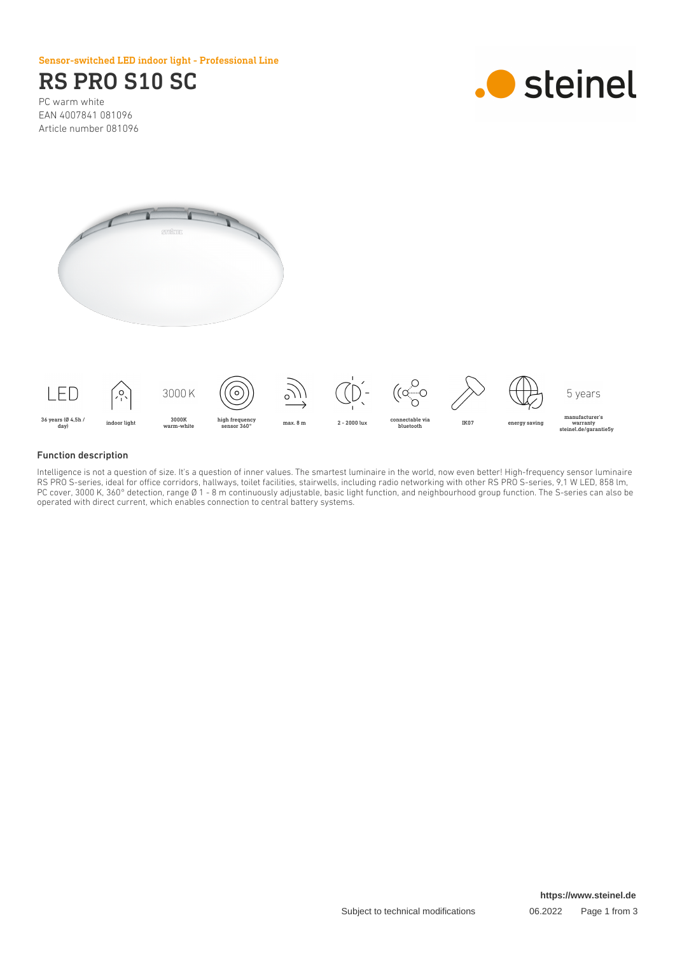Sensor-switched LED indoor light - Professional Line

# RS PRO S10 SC

PC warm white EAN 4007841 081096 Article number 081096







#### Function description

Intelligence is not a question of size. It's a question of inner values. The smartest luminaire in the world, now even better! High-frequency sensor luminaire RS PRO S-series, ideal for office corridors, hallways, toilet facilities, stairwells, including radio networking with other RS PRO S-series, 9,1 W LED, 858 lm, PC cover, 3000 K, 360° detection, range Ø 1 - 8 m continuously adjustable, basic light function, and neighbourhood group function. The S-series can also be operated with direct current, which enables connection to central battery systems.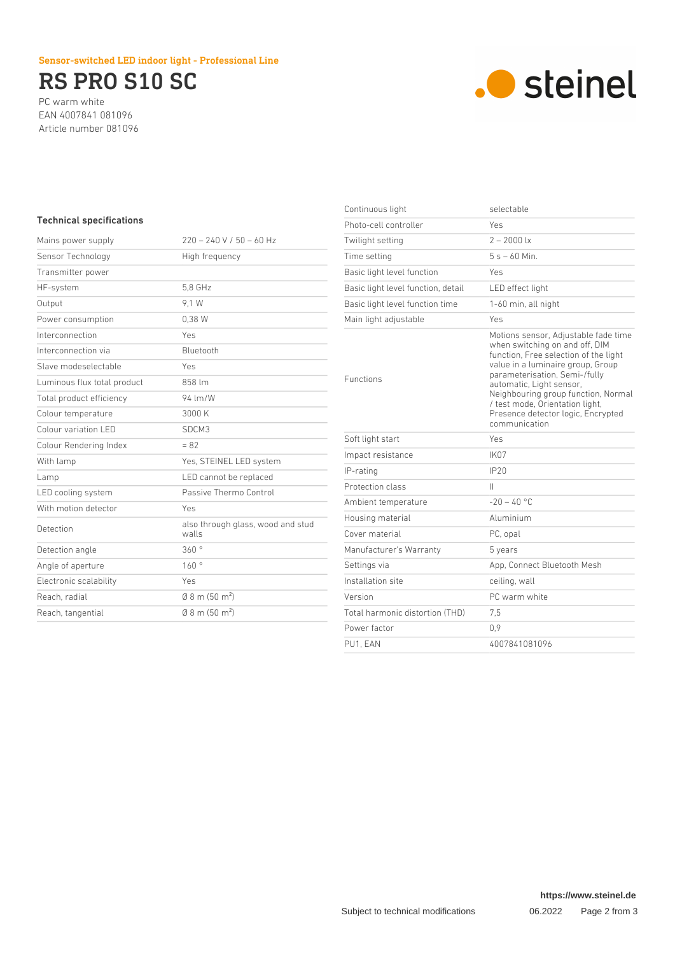## Sensor-switched LED indoor light - Professional Line

# RS PRO S10 SC

PC warm white EAN 4007841 081096 Article number 081096



# Technical specifications

| Mains power supply          | $220 - 240 V / 50 - 60 Hz$                 |
|-----------------------------|--------------------------------------------|
| Sensor Technology           | High frequency                             |
| Transmitter power           |                                            |
| HF-system                   | 5.8 GHz                                    |
| Output                      | 9.1 W                                      |
| Power consumption           | 0.38W                                      |
| Interconnection             | Yes                                        |
| Interconnection via         | Bluetooth                                  |
| Slave modeselectable        | Yes                                        |
| Luminous flux total product | 858 lm                                     |
| Total product efficiency    | 94 lm/W                                    |
| Colour temperature          | 3000 K                                     |
| Colour variation LED        | SDCM3                                      |
| Colour Rendering Index      | $= 82$                                     |
| With lamp                   | Yes, STEINEL LED system                    |
| Lamp                        | LED cannot be replaced                     |
| LED cooling system          | Passive Thermo Control                     |
| With motion detector        | Yes                                        |
| Detection                   | also through glass, wood and stud<br>walls |
| Detection angle             | 360°                                       |
| Angle of aperture           | 160°                                       |
| Electronic scalability      | Yes                                        |
| Reach, radial               | $(0.8 \text{ m} (50 \text{ m}^2))$         |
| Reach, tangential           | $(0.8 \text{ m} (50 \text{ m}^2))$         |
|                             |                                            |

| Continuous light                   | selectable                                                                                                                                                                                                                                                                                                                                         |
|------------------------------------|----------------------------------------------------------------------------------------------------------------------------------------------------------------------------------------------------------------------------------------------------------------------------------------------------------------------------------------------------|
| Photo-cell controller              | Yes                                                                                                                                                                                                                                                                                                                                                |
| Twilight setting                   | $2 - 2000$ lx                                                                                                                                                                                                                                                                                                                                      |
| Time setting                       | $5s - 60$ Min                                                                                                                                                                                                                                                                                                                                      |
| Basic light level function         | Yes                                                                                                                                                                                                                                                                                                                                                |
| Basic light level function, detail | LED effect light                                                                                                                                                                                                                                                                                                                                   |
| Basic light level function time    | 1-60 min, all night                                                                                                                                                                                                                                                                                                                                |
| Main light adjustable              | Yes                                                                                                                                                                                                                                                                                                                                                |
| <b>Functions</b>                   | Motions sensor, Adjustable fade time<br>when switching on and off, DIM<br>function, Free selection of the light<br>value in a luminaire group, Group<br>parameterisation, Semi-/fully<br>automatic, Light sensor,<br>Neighbouring group function, Normal<br>/ test mode, Orientation light,<br>Presence detector logic, Encrypted<br>communication |
| Soft light start                   | Yes                                                                                                                                                                                                                                                                                                                                                |
| Impact resistance                  | IK <sub>07</sub>                                                                                                                                                                                                                                                                                                                                   |
| IP-rating                          | IP20                                                                                                                                                                                                                                                                                                                                               |
| Protection class                   | Ш                                                                                                                                                                                                                                                                                                                                                  |
| Ambient temperature                | $-20 - 40$ °C                                                                                                                                                                                                                                                                                                                                      |
| Housing material                   | Aluminium                                                                                                                                                                                                                                                                                                                                          |
| Cover material                     | PC, opal                                                                                                                                                                                                                                                                                                                                           |
| Manufacturer's Warranty            | 5 years                                                                                                                                                                                                                                                                                                                                            |
| Settings via                       | App, Connect Bluetooth Mesh                                                                                                                                                                                                                                                                                                                        |
| Installation site                  | ceiling, wall                                                                                                                                                                                                                                                                                                                                      |
| Version                            | PC warm white                                                                                                                                                                                                                                                                                                                                      |
| Total harmonic distortion (THD)    | 7,5                                                                                                                                                                                                                                                                                                                                                |
| Power factor                       | 0.9                                                                                                                                                                                                                                                                                                                                                |
| PU1, EAN                           | 4007841081096                                                                                                                                                                                                                                                                                                                                      |